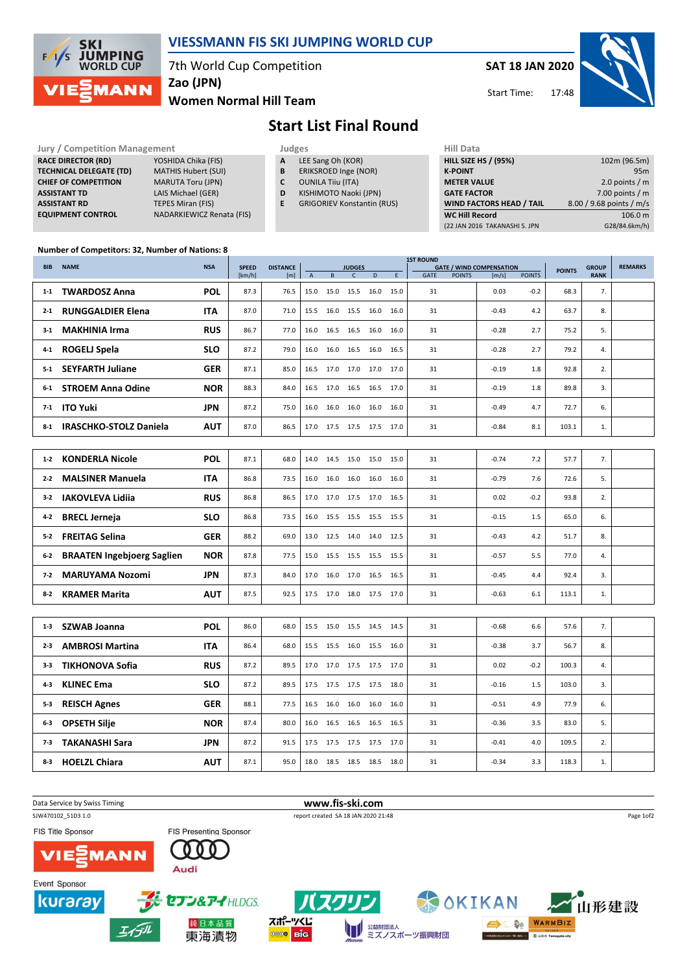

## VIESSMANN FIS SKI JUMPING WORLD CUP

7th World Cup Competition

Zao (JPN)

Women Normal Hill Team

SAT 18 JAN 2020 17:48 Start Time:



# Start List Final Round

#### RACE DIRECTOR (RD) TECHNICAL DELEGATE CHIEF OF COMPETITIC **ASSISTANT TD ASSISTANT RD** EQUIPMENT CONTRO

| <b>Jury / Competition Management</b> |                                  |   | Judges                            |  |                  |  |  |  |  |
|--------------------------------------|----------------------------------|---|-----------------------------------|--|------------------|--|--|--|--|
| <b>RACE DIRECTOR (RD)</b>            | YOSHIDA Chika (FIS)              | A | LEE Sang Oh (KOR)                 |  | <b>HILL SIZE</b> |  |  |  |  |
| <b>TECHNICAL DELEGATE (TD)</b>       | <b>MATHIS Hubert (SUI)</b>       | B | ERIKSROED Inge (NOR)              |  | <b>K-POINT</b>   |  |  |  |  |
| <b>CHIEF OF COMPETITION</b>          | <b>MARUTA Toru (JPN)</b>         | C | <b>OUNILA Tiiu (ITA)</b>          |  | <b>METER \</b>   |  |  |  |  |
| <b>ASSISTANT TD</b>                  | LAIS Michael (GER)               | D | KISHIMOTO Naoki (JPN)             |  | <b>GATE FA</b>   |  |  |  |  |
| <b>ASSISTANT RD</b>                  | <b>TEPES Miran (FIS)</b>         | Е | <b>GRIGORIEV Konstantin (RUS)</b> |  | WIND FA          |  |  |  |  |
| <b>EQUIPMENT CONTROL</b>             | <b>NADARKIEWICZ Renata (FIS)</b> |   |                                   |  | WC Hill I        |  |  |  |  |

| ------ |  | $-$ |  |  |  |
|--------|--|-----|--|--|--|
|        |  |     |  |  |  |

- A LEE Sang Oh (KOR)
- **B** ERIKSROED Inge (NOR)<br>**C** OUNILA Tiiu (ITA)
	- OUNILA Tiiu (ITA)
- D KISHIMOTO Naoki (JPN)
- E GRIGORIEV Konstantin (RUS)

1ST ROUND

| HIII Data                       |                          |
|---------------------------------|--------------------------|
| <b>HILL SIZE HS / (95%)</b>     | 102m (96.5m)             |
| <b>K-POINT</b>                  | 95m                      |
| <b>METER VALUE</b>              | 2.0 points $/m$          |
| <b>GATE FACTOR</b>              | 7.00 points $/m$         |
| <b>WIND FACTORS HEAD / TAIL</b> | 8.00 / 9.68 points / m/s |
| <b>WC Hill Record</b>           | 106.0 m                  |
| (22 JAN 2016 TAKANASHI S. JPN   | G28/84.6km/h)            |

#### Number of Competitors: 32, Number of Nations: 8

| <b>NAME</b><br><b>BIB</b> |                                   | <b>NSA</b> | <b>SPEED</b> | <b>JUDGES</b> |                |                          |                |      |      |      | <b>GATE / WIND COMPENSATION</b> | <b>GROUP</b><br><b>POINTS</b> | <b>REMARKS</b> |       |             |  |
|---------------------------|-----------------------------------|------------|--------------|---------------|----------------|--------------------------|----------------|------|------|------|---------------------------------|-------------------------------|----------------|-------|-------------|--|
|                           |                                   |            | [km/h]       | [m]           | $\overline{A}$ | B                        | $\mathsf{C}$   | D    | E.   | GATE | <b>POINTS</b>                   | [m/s]                         | <b>POINTS</b>  |       | <b>RANK</b> |  |
| $1-1$                     | <b>TWARDOSZ Anna</b>              | <b>POL</b> | 87.3         | 76.5          | 15.0           | 15.0                     | 15.5           | 16.0 | 15.0 | 31   |                                 | 0.03                          | $-0.2$         | 68.3  | 7.          |  |
| $2 - 1$                   | <b>RUNGGALDIER Elena</b>          | <b>ITA</b> | 87.0         | 71.0          | 15.5           | 16.0                     | 15.5           | 16.0 | 16.0 | 31   |                                 | $-0.43$                       | 4.2            | 63.7  | 8.          |  |
| $3-1$                     | <b>MAKHINIA Irma</b>              | <b>RUS</b> | 86.7         | 77.0          | 16.0           | 16.5                     | 16.5           | 16.0 | 16.0 | 31   |                                 | $-0.28$                       | 2.7            | 75.2  | 5.          |  |
| 4-1                       | <b>ROGELJ Spela</b>               | <b>SLO</b> | 87.2         | 79.0          | 16.0           | 16.0                     | 16.5           | 16.0 | 16.5 | 31   |                                 | $-0.28$                       | 2.7            | 79.2  | 4.          |  |
| $5 - 1$                   | <b>SEYFARTH Juliane</b>           | <b>GER</b> | 87.1         | 85.0          | 16.5           | 17.0                     | 17.0           | 17.0 | 17.0 | 31   |                                 | $-0.19$                       | 1.8            | 92.8  | 2.          |  |
| $6-1$                     | <b>STROEM Anna Odine</b>          | <b>NOR</b> | 88.3         | 84.0          | 16.5           | 17.0                     | 16.5           | 16.5 | 17.0 | 31   |                                 | $-0.19$                       | 1.8            | 89.8  | 3.          |  |
| $7-1$                     | <b>ITO Yuki</b>                   | <b>JPN</b> | 87.2         | 75.0          | 16.0           | 16.0 16.0 16.0 16.0      |                |      |      | 31   |                                 | $-0.49$                       | 4.7            | 72.7  | 6.          |  |
| $8-1$                     | <b>IRASCHKO-STOLZ Daniela</b>     | <b>AUT</b> | 87.0         | 86.5          | 17.0           |                          | 17.5 17.5 17.5 |      | 17.0 | 31   |                                 | $-0.84$                       | 8.1            | 103.1 | 1.          |  |
|                           |                                   |            |              |               |                |                          |                |      |      |      |                                 |                               |                |       |             |  |
| $1 - 2$                   | <b>KONDERLA Nicole</b>            | <b>POL</b> | 87.1         | 68.0          | 14.0           | 14.5                     | 15.0           | 15.0 | 15.0 | 31   |                                 | $-0.74$                       | 7.2            | 57.7  | 7.          |  |
| $2 - 2$                   | <b>MALSINER Manuela</b>           | <b>ITA</b> | 86.8         | 73.5          | 16.0           | 16.0                     | 16.0           | 16.0 | 16.0 | 31   |                                 | $-0.79$                       | 7.6            | 72.6  | 5.          |  |
| $3 - 2$                   | <b>IAKOVLEVA Lidija</b>           | <b>RUS</b> | 86.8         | 86.5          | 17.0           | 17.0                     | 17.5           | 17.0 | 16.5 | 31   |                                 | 0.02                          | $-0.2$         | 93.8  | 2.          |  |
| 4-2                       | <b>BRECL Jerneja</b>              | <b>SLO</b> | 86.8         | 73.5          |                | 16.0 15.5 15.5 15.5 15.5 |                |      |      | 31   |                                 | $-0.15$                       | 1.5            | 65.0  | 6.          |  |
| $5 - 2$                   | <b>FREITAG Selina</b>             | <b>GER</b> | 88.2         | 69.0          |                | 13.0 12.5 14.0 14.0 12.5 |                |      |      | 31   |                                 | $-0.43$                       | 4.2            | 51.7  | 8.          |  |
| $6-2$                     | <b>BRAATEN Ingebjoerg Saglien</b> | <b>NOR</b> | 87.8         | 77.5          | 15.0           | 15.5                     | 15.5 15.5      |      | 15.5 | 31   |                                 | $-0.57$                       | 5.5            | 77.0  | 4.          |  |
| 7-2                       | <b>MARUYAMA Nozomi</b>            | <b>JPN</b> | 87.3         | 84.0          | 17.0           | 16.0                     | 17.0           | 16.5 | 16.5 | 31   |                                 | $-0.45$                       | 4.4            | 92.4  | 3.          |  |
| 8-2                       | <b>KRAMER Marita</b>              | <b>AUT</b> | 87.5         | 92.5          |                | 17.5 17.0                | 18.0           | 17.5 | 17.0 | 31   |                                 | $-0.63$                       | 6.1            | 113.1 | 1.          |  |
|                           |                                   |            |              |               |                |                          |                |      |      |      |                                 |                               |                |       |             |  |
| $1 - 3$                   | <b>SZWAB Joanna</b>               | <b>POL</b> | 86.0         | 68.0          |                | 15.5 15.0 15.5 14.5 14.5 |                |      |      | 31   |                                 | $-0.68$                       | 6.6            | 57.6  | 7.          |  |
| 2-3                       | <b>AMBROSI Martina</b>            | <b>ITA</b> | 86.4         | 68.0          |                | 15.5 15.5 16.0 15.5 16.0 |                |      |      | 31   |                                 | $-0.38$                       | 3.7            | 56.7  | 8.          |  |
| $3-3$                     | <b>TIKHONOVA Sofia</b>            | <b>RUS</b> | 87.2         | 89.5          |                | 17.0 17.0                | 17.5 17.5      |      | 17.0 | 31   |                                 | 0.02                          | $-0.2$         | 100.3 | 4.          |  |
| $4 - 3$                   | <b>KLINEC Ema</b>                 | <b>SLO</b> | 87.2         | 89.5          | 17.5           | 17.5                     | 17.5           | 17.5 | 18.0 | 31   |                                 | $-0.16$                       | 1.5            | 103.0 | 3.          |  |
| $5 - 3$                   | <b>REISCH Agnes</b>               | <b>GER</b> | 88.1         | 77.5          | 16.5           | 16.0                     | 16.0           | 16.0 | 16.0 | 31   |                                 | $-0.51$                       | 4.9            | 77.9  | 6.          |  |
| 6-3                       | <b>OPSETH Silje</b>               | <b>NOR</b> | 87.4         | 80.0          | 16.0           | 16.5                     | 16.5           | 16.5 | 16.5 | 31   |                                 | $-0.36$                       | 3.5            | 83.0  | 5.          |  |
| $7-3$                     | <b>TAKANASHI Sara</b>             | <b>JPN</b> | 87.2         | 91.5          | 17.5           | 17.5 17.5                |                | 17.5 | 17.0 | 31   |                                 | $-0.41$                       | 4.0            | 109.5 | 2.          |  |
| 8-3                       | <b>HOELZL Chiara</b>              | <b>AUT</b> | 87.1         | 95.0          |                | 18.0 18.5 18.5 18.5 18.0 |                |      |      | 31   |                                 | $-0.34$                       | 3.3            | 118.3 | 1.          |  |

Data Service by Swiss Timing **www.fis-ski.com** SJW470102\_51D3 1.0 report created SA 18 JAN 2020 21:48 Page 1of2FIS Title Sponsor FIS Presenting Sponsor  $\bf{0}$  $\bf{0}$   $\bf{0}$ **MANN** Audi Event Sponsor セブン&アイHLDGS. kuraray **OKIKAN** 」<br>IB形建設 スポーツくじ 純日本品質 **ON WARMBIZ** <sup>公益財団法人</sup><br>ミズノスポーツ振興財団 T **0000 BIG** 東海漬物  $(B)$  di Asia